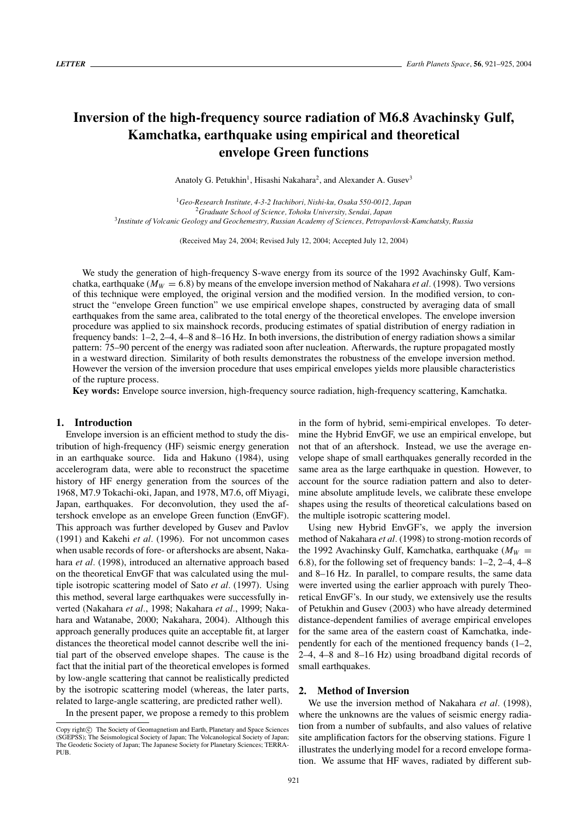# **Inversion of the high-frequency source radiation of M6.8 Avachinsky Gulf, Kamchatka, earthquake using empirical and theoretical envelope Green functions**

Anatoly G. Petukhin<sup>1</sup>, Hisashi Nakahara<sup>2</sup>, and Alexander A. Gusev<sup>3</sup>

<sup>1</sup>*Geo-Research Institute, 4-3-2 Itachibori, Nishi-ku, Osaka 550-0012, Japan* <sup>2</sup>*Graduate School of Science, Tohoku University, Sendai, Japan* <sup>3</sup>*Institute of Volcanic Geology and Geochemestry, Russian Academy of Sciences, Petropavlovsk-Kamchatsky, Russia*

(Received May 24, 2004; Revised July 12, 2004; Accepted July 12, 2004)

We study the generation of high-frequency S-wave energy from its source of the 1992 Avachinsky Gulf, Kamchatka, earthquake ( $M_W = 6.8$ ) by means of the envelope inversion method of Nakahara *et al.* (1998). Two versions of this technique were employed, the original version and the modified version. In the modified version, to construct the "envelope Green function" we use empirical envelope shapes, constructed by averaging data of small earthquakes from the same area, calibrated to the total energy of the theoretical envelopes. The envelope inversion procedure was applied to six mainshock records, producing estimates of spatial distribution of energy radiation in frequency bands: 1–2, 2–4, 4–8 and 8–16 Hz. In both inversions, the distribution of energy radiation shows a similar pattern: 75–90 percent of the energy was radiated soon after nucleation. Afterwards, the rupture propagated mostly in a westward direction. Similarity of both results demonstrates the robustness of the envelope inversion method. However the version of the inversion procedure that uses empirical envelopes yields more plausible characteristics of the rupture process.

**Key words:** Envelope source inversion, high-frequency source radiation, high-frequency scattering, Kamchatka.

# **1. Introduction**

Envelope inversion is an efficient method to study the distribution of high-frequency (HF) seismic energy generation in an earthquake source. Iida and Hakuno (1984), using accelerogram data, were able to reconstruct the spacetime history of HF energy generation from the sources of the 1968, M7.9 Tokachi-oki, Japan, and 1978, M7.6, off Miyagi, Japan, earthquakes. For deconvolution, they used the aftershock envelope as an envelope Green function (EnvGF). This approach was further developed by Gusev and Pavlov (1991) and Kakehi *et al.* (1996). For not uncommon cases when usable records of fore- or aftershocks are absent, Nakahara *et al.* (1998), introduced an alternative approach based on the theoretical EnvGF that was calculated using the multiple isotropic scattering model of Sato *et al.* (1997). Using this method, several large earthquakes were successfully inverted (Nakahara *et al.*, 1998; Nakahara *et al.*, 1999; Nakahara and Watanabe, 2000; Nakahara, 2004). Although this approach generally produces quite an acceptable fit, at larger distances the theoretical model cannot describe well the initial part of the observed envelope shapes. The cause is the fact that the initial part of the theoretical envelopes is formed by low-angle scattering that cannot be realistically predicted by the isotropic scattering model (whereas, the later parts, related to large-angle scattering, are predicted rather well).

In the present paper, we propose a remedy to this problem

in the form of hybrid, semi-empirical envelopes. To determine the Hybrid EnvGF, we use an empirical envelope, but not that of an aftershock. Instead, we use the average envelope shape of small earthquakes generally recorded in the same area as the large earthquake in question. However, to account for the source radiation pattern and also to determine absolute amplitude levels, we calibrate these envelope shapes using the results of theoretical calculations based on the multiple isotropic scattering model.

Using new Hybrid EnvGF's, we apply the inversion method of Nakahara *et al.* (1998) to strong-motion records of the 1992 Avachinsky Gulf, Kamchatka, earthquake ( $M_W =$ 6.8), for the following set of frequency bands: 1–2, 2–4, 4–8 and 8–16 Hz. In parallel, to compare results, the same data were inverted using the earlier approach with purely Theoretical EnvGF's. In our study, we extensively use the results of Petukhin and Gusev (2003) who have already determined distance-dependent families of average empirical envelopes for the same area of the eastern coast of Kamchatka, independently for each of the mentioned frequency bands (1–2, 2–4, 4–8 and 8–16 Hz) using broadband digital records of small earthquakes.

#### **2. Method of Inversion**

We use the inversion method of Nakahara *et al.* (1998), where the unknowns are the values of seismic energy radiation from a number of subfaults, and also values of relative site amplification factors for the observing stations. Figure 1 illustrates the underlying model for a record envelope formation. We assume that HF waves, radiated by different sub-

Copy right $\odot$  The Society of Geomagnetism and Earth, Planetary and Space Sciences (SGEPSS); The Seismological Society of Japan; The Volcanological Society of Japan; The Geodetic Society of Japan; The Japanese Society for Planetary Sciences; TERRA-PUB.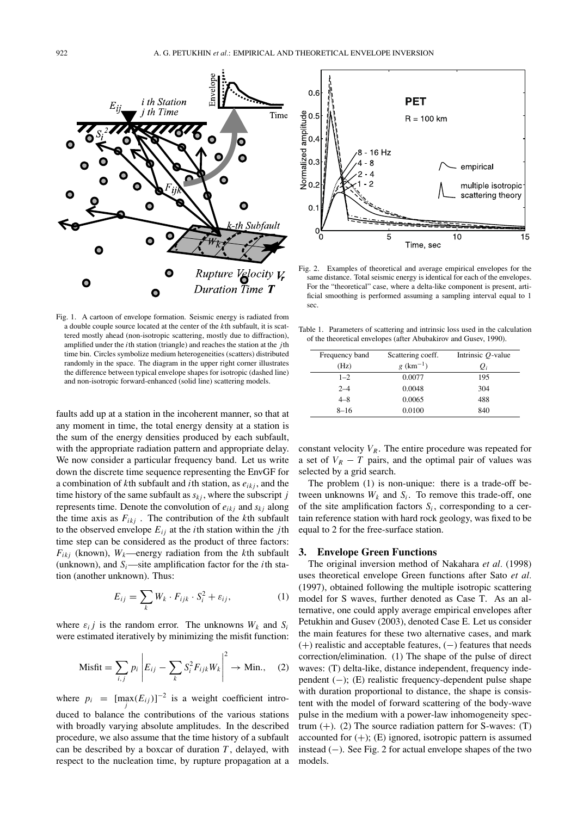

Fig. 1. A cartoon of envelope formation. Seismic energy is radiated from a double couple source located at the center of the *k*th subfault, it is scattered mostly ahead (non-isotropic scattering, mostly due to diffraction), amplified under the *i*th station (triangle) and reaches the station at the *j*th time bin. Circles symbolize medium heterogeneities (scatters) distributed randomly in the space. The diagram in the upper right corner illustrates the difference between typical envelope shapes for isotropic (dashed line) and non-isotropic forward-enhanced (solid line) scattering models.

faults add up at a station in the incoherent manner, so that at any moment in time, the total energy density at a station is the sum of the energy densities produced by each subfault, with the appropriate radiation pattern and appropriate delay. We now consider a particular frequency band. Let us write down the discrete time sequence representing the EnvGF for a combination of  $k$ th subfault and *i*th station, as  $e_{ikj}$ , and the time history of the same subfault as  $s_{kj}$ , where the subscript *j* represents time. Denote the convolution of *eikj* and *skj* along the time axis as  $F_{ikj}$ . The contribution of the *k*th subfault to the observed envelope  $E_{ij}$  at the *i*th station within the *j*th time step can be considered as the product of three factors:  $F_{ikj}$  (known),  $W_k$ —energy radiation from the *k*th subfault (unknown), and  $S_i$ —site amplification factor for the *i*th station (another unknown). Thus:

$$
E_{ij} = \sum_{k} W_k \cdot F_{ijk} \cdot S_i^2 + \varepsilon_{ij}, \qquad (1)
$$

where  $\varepsilon_i$  *j* is the random error. The unknowns  $W_k$  and  $S_i$ were estimated iteratively by minimizing the misfit function:

$$
\text{Misfit} = \sum_{i,j} p_i \left| E_{ij} - \sum_k S_i^2 F_{ijk} W_k \right|^2 \to \text{Min.}, \quad (2)
$$

where  $p_i = [\max_j(E_{ij})]^{-2}$  is a weight coefficient introduced to balance the contributions of the various stations with broadly varying absolute amplitudes. In the described procedure, we also assume that the time history of a subfault can be described by a boxcar of duration *T* , delayed, with respect to the nucleation time, by rupture propagation at a



Fig. 2. Examples of theoretical and average empirical envelopes for the same distance. Total seismic energy is identical for each of the envelopes. For the "theoretical" case, where a delta-like component is present, artificial smoothing is performed assuming a sampling interval equal to 1 sec.

Table 1. Parameters of scattering and intrinsic loss used in the calculation of the theoretical envelopes (after Abubakirov and Gusev, 1990).

| Frequency band | Scattering coeff.       | Intrinsic $Q$ -value |
|----------------|-------------------------|----------------------|
| (Hz)           | $g$ (km <sup>-1</sup> ) | $Q_i$                |
| $1 - 2$        | 0.0077                  | 195                  |
| $2 - 4$        | 0.0048                  | 304                  |
| $4 - 8$        | 0.0065                  | 488                  |
| $8 - 16$       | 0.0100                  | 840                  |

constant velocity  $V_R$ . The entire procedure was repeated for a set of  $V_R - T$  pairs, and the optimal pair of values was selected by a grid search.

The problem (1) is non-unique: there is a trade-off between unknowns  $W_k$  and  $S_i$ . To remove this trade-off, one of the site amplification factors  $S_i$ , corresponding to a certain reference station with hard rock geology, was fixed to be equal to 2 for the free-surface station.

#### **3. Envelope Green Functions**

The original inversion method of Nakahara *et al.* (1998) uses theoretical envelope Green functions after Sato *et al.* (1997), obtained following the multiple isotropic scattering model for S waves, further denoted as Case T. As an alternative, one could apply average empirical envelopes after Petukhin and Gusev (2003), denoted Case E. Let us consider the main features for these two alternative cases, and mark (+) realistic and acceptable features, (−) features that needs correction/elimination. (1) The shape of the pulse of direct waves: (T) delta-like, distance independent, frequency independent (−); (E) realistic frequency-dependent pulse shape with duration proportional to distance, the shape is consistent with the model of forward scattering of the body-wave pulse in the medium with a power-law inhomogeneity spectrum  $(+)$ . (2) The source radiation pattern for S-waves: (T) accounted for  $(+)$ ;  $(E)$  ignored, isotropic pattern is assumed instead (−). See Fig. 2 for actual envelope shapes of the two models.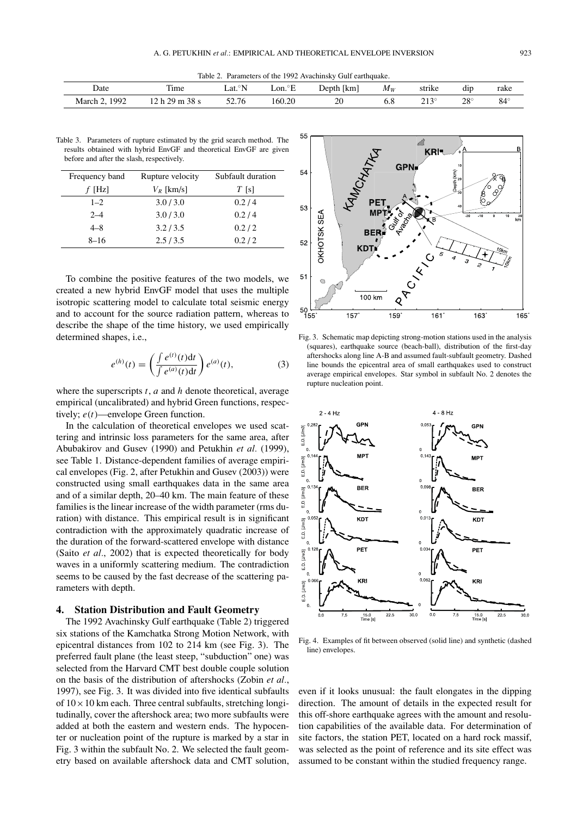Table 2. Parameters of the 1992 Avachinsky Gulf earthquake.

| Date        | m.<br>1 ime                | $\circ$ N<br>∟at.° | $\sim$ T<br>∟on.°E | -<br>1 km<br>Depth | $M_W$ | strike           | $\cdot$ .<br>$_{\rm dip}$ | rake |
|-------------|----------------------------|--------------------|--------------------|--------------------|-------|------------------|---------------------------|------|
| QQ<br>March | ററ<br>ററ<br>$\sim$<br>20 S | 2.76د              | 160.20<br>----     | ാറ<br>∠∪           | υ.ο   | <b>212</b><br>__ | $28^{\circ}$<br>__        | 84   |

Table 3. Parameters of rupture estimated by the grid search method. The results obtained with hybrid EnvGF and theoretical EnvGF are given before and after the slash, respectively.

| Frequency band | Rupture velocity | Subfault duration |
|----------------|------------------|-------------------|
| $f$ [Hz]       | $V_R$ [km/s]     | $T$ [s]           |
| $1 - 2$        | 3.0/3.0          | 0.2/4             |
| $2 - 4$        | 3.0 / 3.0        | 0.2/4             |
| $4 - 8$        | 3.2 / 3.5        | 0.2/2             |
| $8 - 16$       | 2.5/3.5          | 0.2/2             |

To combine the positive features of the two models, we created a new hybrid EnvGF model that uses the multiple isotropic scattering model to calculate total seismic energy and to account for the source radiation pattern, whereas to describe the shape of the time history, we used empirically determined shapes, i.e.,

$$
e^{(h)}(t) = \left(\frac{\int e^{(t)}(t)dt}{\int e^{(a)}(t)dt}\right) e^{(a)}(t),
$$
 (3)

where the superscripts *t*, *a* and *h* denote theoretical, average empirical (uncalibrated) and hybrid Green functions, respectively; *e*(*t*)—envelope Green function.

In the calculation of theoretical envelopes we used scattering and intrinsic loss parameters for the same area, after Abubakirov and Gusev (1990) and Petukhin *et al.* (1999), see Table 1. Distance-dependent families of average empirical envelopes (Fig. 2, after Petukhin and Gusev (2003)) were constructed using small earthquakes data in the same area and of a similar depth, 20–40 km. The main feature of these families is the linear increase of the width parameter (rms duration) with distance. This empirical result is in significant contradiction with the approximately quadratic increase of the duration of the forward-scattered envelope with distance (Saito *et al.*, 2002) that is expected theoretically for body waves in a uniformly scattering medium. The contradiction seems to be caused by the fast decrease of the scattering parameters with depth.

## **4. Station Distribution and Fault Geometry**

The 1992 Avachinsky Gulf earthquake (Table 2) triggered six stations of the Kamchatka Strong Motion Network, with epicentral distances from 102 to 214 km (see Fig. 3). The preferred fault plane (the least steep, "subduction" one) was selected from the Harvard CMT best double couple solution on the basis of the distribution of aftershocks (Zobin *et al.*, 1997), see Fig. 3. It was divided into five identical subfaults of  $10 \times 10$  km each. Three central subfaults, stretching longitudinally, cover the aftershock area; two more subfaults were added at both the eastern and western ends. The hypocenter or nucleation point of the rupture is marked by a star in Fig. 3 within the subfault No. 2. We selected the fault geometry based on available aftershock data and CMT solution,



Fig. 3. Schematic map depicting strong-motion stations used in the analysis (squares), earthquake source (beach-ball), distribution of the first-day aftershocks along line A-B and assumed fault-subfault geometry. Dashed line bounds the epicentral area of small earthquakes used to construct average empirical envelopes. Star symbol in subfault No. 2 denotes the rupture nucleation point.



Fig. 4. Examples of fit between observed (solid line) and synthetic (dashed line) envelopes.

even if it looks unusual: the fault elongates in the dipping direction. The amount of details in the expected result for this off-shore earthquake agrees with the amount and resolution capabilities of the available data. For determination of site factors, the station PET, located on a hard rock massif, was selected as the point of reference and its site effect was assumed to be constant within the studied frequency range.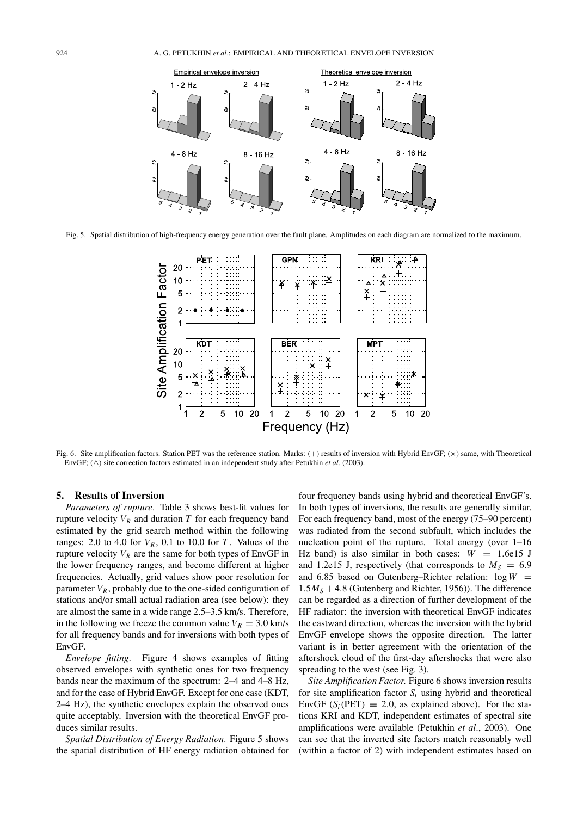

Fig. 5. Spatial distribution of high-frequency energy generation over the fault plane. Amplitudes on each diagram are normalized to the maximum.



Fig. 6. Site amplification factors. Station PET was the reference station. Marks:  $(+)$  results of inversion with Hybrid EnvGF;  $(\times)$  same, with Theoretical EnvGF;  $(\triangle)$  site correction factors estimated in an independent study after Petukhin *et al.* (2003).

### **5. Results of Inversion**

*Parameters of rupture.* Table 3 shows best-fit values for rupture velocity  $V_R$  and duration  $T$  for each frequency band estimated by the grid search method within the following ranges: 2.0 to 4.0 for  $V_R$ , 0.1 to 10.0 for *T*. Values of the rupture velocity  $V_R$  are the same for both types of EnvGF in the lower frequency ranges, and become different at higher frequencies. Actually, grid values show poor resolution for parameter  $V_R$ , probably due to the one-sided configuration of stations and/or small actual radiation area (see below): they are almost the same in a wide range 2.5–3.5 km/s. Therefore, in the following we freeze the common value  $V_R = 3.0 \text{ km/s}$ for all frequency bands and for inversions with both types of EnvGF.

*Envelope fitting.* Figure 4 shows examples of fitting observed envelopes with synthetic ones for two frequency bands near the maximum of the spectrum: 2–4 and 4–8 Hz, and for the case of Hybrid EnvGF. Except for one case (KDT, 2–4 Hz), the synthetic envelopes explain the observed ones quite acceptably. Inversion with the theoretical EnvGF produces similar results.

*Spatial Distribution of Energy Radiation.* Figure 5 shows the spatial distribution of HF energy radiation obtained for four frequency bands using hybrid and theoretical EnvGF's. In both types of inversions, the results are generally similar. For each frequency band, most of the energy (75–90 percent) was radiated from the second subfault, which includes the nucleation point of the rupture. Total energy (over 1–16 Hz band) is also similar in both cases:  $W = 1.6e15$  J and 1.2e15 J, respectively (that corresponds to  $M<sub>S</sub> = 6.9$ and 6.85 based on Gutenberg–Richter relation:  $log W$  =  $1.5M<sub>S</sub> + 4.8$  (Gutenberg and Richter, 1956)). The difference can be regarded as a direction of further development of the HF radiator: the inversion with theoretical EnvGF indicates the eastward direction, whereas the inversion with the hybrid EnvGF envelope shows the opposite direction. The latter variant is in better agreement with the orientation of the aftershock cloud of the first-day aftershocks that were also spreading to the west (see Fig. 3).

*Site Amplification Factor.* Figure 6 shows inversion results for site amplification factor  $S_i$  using hybrid and theoretical EnvGF ( $S_i$ (PET)  $\equiv$  2.0, as explained above). For the stations KRI and KDT, independent estimates of spectral site amplifications were available (Petukhin *et al.*, 2003). One can see that the inverted site factors match reasonably well (within a factor of 2) with independent estimates based on